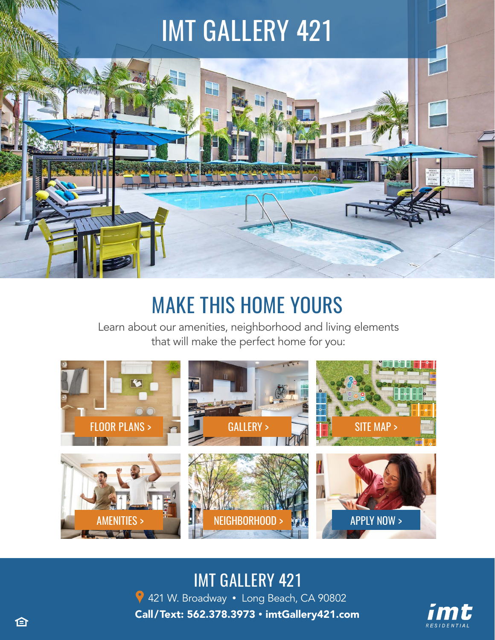# IMT GALLERY 421 8 F

# MAKE THIS HOME YOURS

Learn about our amenities, neighborhood and living elements that will make the perfect home for you:



# IMT GALLERY 421

9 421 W. Broadway • [Long Beach, CA 90802](https://g.page/imtGallery421?share) Call/Text: 562.378.3973 • [imtGallery421.com](https://imtresidential.com/properties/imt-gallery-421?utm_source=website&utm_medium=ebrochure)